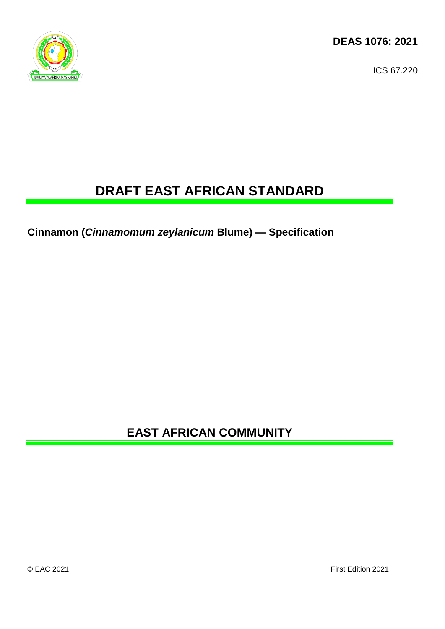

ICS 67.220

# **DRAFT EAST AFRICAN STANDARD**

**Cinnamon (***Cinnamomum zeylanicum* **Blume) — Specification**

**EAST AFRICAN COMMUNITY**

© EAC 2021 First Edition 2021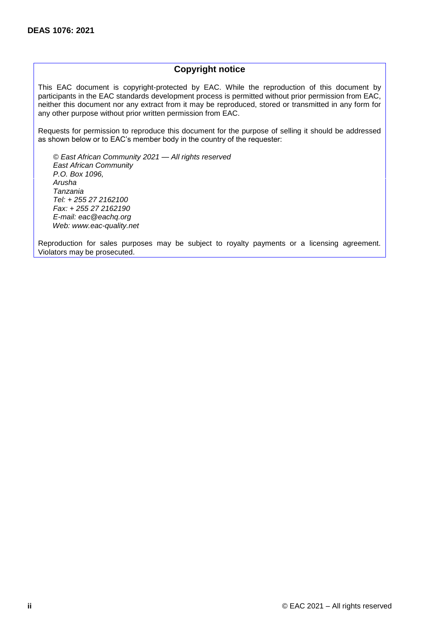### **Copyright notice**

This EAC document is copyright-protected by EAC. While the reproduction of this document by participants in the EAC standards development process is permitted without prior permission from EAC, neither this document nor any extract from it may be reproduced, stored or transmitted in any form for any other purpose without prior written permission from EAC.

Requests for permission to reproduce this document for the purpose of selling it should be addressed as shown below or to EAC's member body in the country of the requester:

*© East African Community 2021 — All rights reserved East African Community P.O. Box 1096, Arusha Tanzania Tel: + 255 27 2162100 Fax: + 255 27 2162190 E-mail: eac@eachq.org Web: www.eac-quality.net*

Reproduction for sales purposes may be subject to royalty payments or a licensing agreement. Violators may be prosecuted.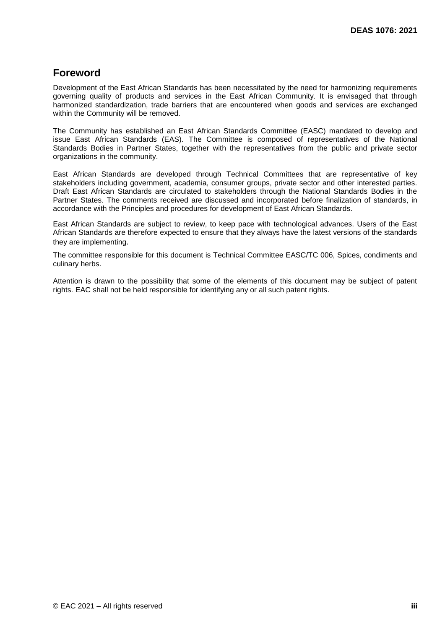## **Foreword**

Development of the East African Standards has been necessitated by the need for harmonizing requirements governing quality of products and services in the East African Community. It is envisaged that through harmonized standardization, trade barriers that are encountered when goods and services are exchanged within the Community will be removed.

The Community has established an East African Standards Committee (EASC) mandated to develop and issue East African Standards (EAS). The Committee is composed of representatives of the National Standards Bodies in Partner States, together with the representatives from the public and private sector organizations in the community.

East African Standards are developed through Technical Committees that are representative of key stakeholders including government, academia, consumer groups, private sector and other interested parties. Draft East African Standards are circulated to stakeholders through the National Standards Bodies in the Partner States. The comments received are discussed and incorporated before finalization of standards, in accordance with the Principles and procedures for development of East African Standards.

East African Standards are subject to review, to keep pace with technological advances. Users of the East African Standards are therefore expected to ensure that they always have the latest versions of the standards they are implementing.

The committee responsible for this document is Technical Committee EASC/TC 006, Spices, condiments and culinary herbs.

Attention is drawn to the possibility that some of the elements of this document may be subject of patent rights. EAC shall not be held responsible for identifying any or all such patent rights.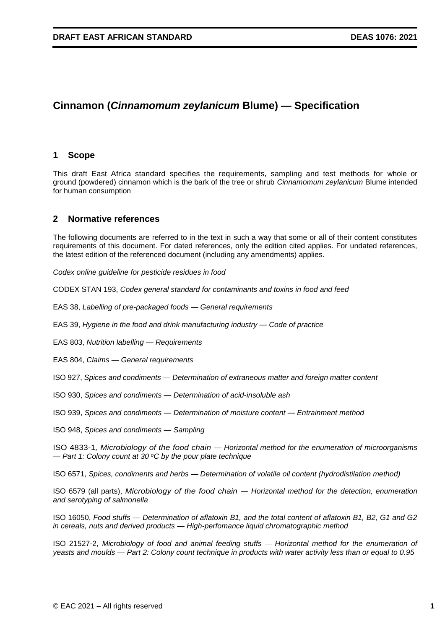## **Cinnamon (***Cinnamomum zeylanicum* **Blume) — Specification**

#### **1 Scope**

This draft East Africa standard specifies the requirements, sampling and test methods for whole or ground (powdered) cinnamon which is the bark of the tree or shrub *Cinnamomum zeylanicum* Blume intended for human consumption

#### **2 Normative references**

The following documents are referred to in the text in such a way that some or all of their content constitutes requirements of this document. For dated references, only the edition cited applies. For undated references, the latest edition of the referenced document (including any amendments) applies.

*Codex online guideline for pesticide residues in food*

CODEX STAN 193, *Codex general standard for contaminants and toxins in food and feed*

EAS 38, *Labelling of pre-packaged foods — General requirements*

EAS 39, *Hygiene in the food and drink manufacturing industry — Code of practice* 

EAS 803, *Nutrition labelling — Requirements*

EAS 804, *Claims — General requirements*

ISO 927, *Spices and condiments — Determination of extraneous matter and foreign matter content*

ISO 930, *Spices and condiments — Determination of acid-insoluble ash*

ISO 939, *Spices and condiments — Determination of moisture content — Entrainment method*

ISO 948, *Spices and condiments — Sampling*

ISO 4833-1*, Microbiology of the food chain — Horizontal method for the enumeration of microorganisms — Part 1: Colony count at 30 <sup>o</sup>C by the pour plate technique*

ISO 6571, *Spices, condiments and herbs — Determination of volatile oil content (hydrodistilation method)*

ISO 6579 (all parts), *Microbiology of the food chain — Horizontal method for the detection, enumeration and serotyping of salmonella* 

ISO 16050, *Food stuffs — Determination of aflatoxin B1, and the total content of aflatoxin B1, B2, G1 and G2 in cereals, nuts and derived products — High-perfomance liquid chromatographic method* 

ISO 21527-2, *Microbiology of food and animal feeding stuffs — Horizontal method for the enumeration of yeasts and moulds — Part 2: Colony count technique in products with water activity less than or equal to 0.95*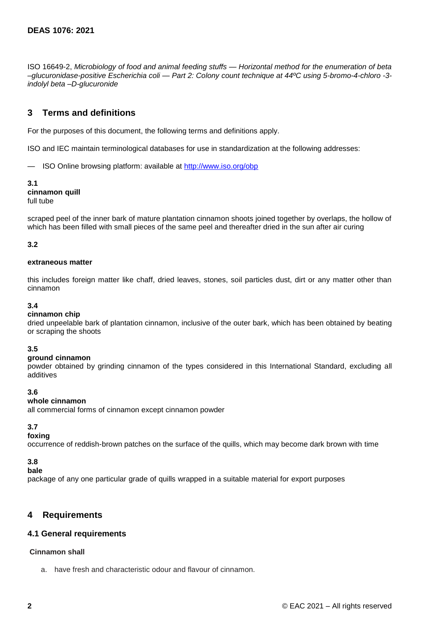ISO 16649-2, *Microbiology of food and animal feeding stuffs — Horizontal method for the enumeration of beta –glucuronidase-positive Escherichia coli — Part 2: Colony count technique at 44ºC using 5-bromo-4-chloro -3 indolyl beta –D-glucuronide*

## **3 Terms and definitions**

For the purposes of this document, the following terms and definitions apply.

ISO and IEC maintain terminological databases for use in standardization at the following addresses:

— ISO Online browsing platform: available at<http://www.iso.org/obp>

**3.1 cinnamon quill** full tube

scraped peel of the inner bark of mature plantation cinnamon shoots joined together by overlaps, the hollow of which has been filled with small pieces of the same peel and thereafter dried in the sun after air curing

#### **3.2**

#### **extraneous matter**

this includes foreign matter like chaff, dried leaves, stones, soil particles dust, dirt or any matter other than cinnamon

#### **3.4**

#### **cinnamon chip**

dried unpeelable bark of plantation cinnamon, inclusive of the outer bark, which has been obtained by beating or scraping the shoots

#### **3.5**

#### **ground cinnamon**

powder obtained by grinding cinnamon of the types considered in this International Standard, excluding all additives

#### **3.6**

#### **whole cinnamon**

all commercial forms of cinnamon except cinnamon powder

## **3.7**

#### **foxing**

occurrence of reddish-brown patches on the surface of the quills, which may become dark brown with time

## **3.8**

#### **bale**

package of any one particular grade of quills wrapped in a suitable material for export purposes

#### **4 Requirements**

#### **4.1 General requirements**

#### **Cinnamon shall**

a. have fresh and characteristic odour and flavour of cinnamon.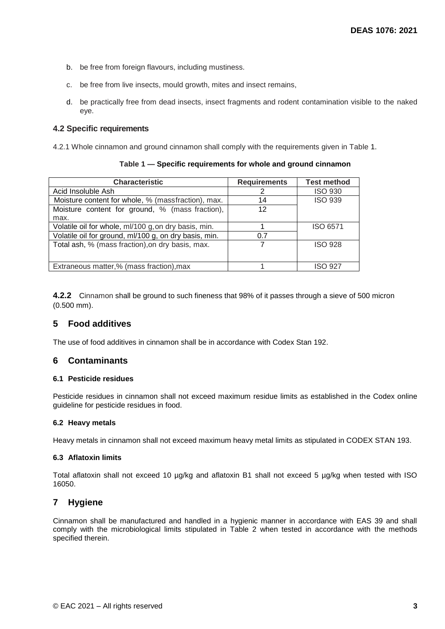- b. be free from foreign flavours, including mustiness.
- c. be free from live insects, mould growth, mites and insect remains,
- d. be practically free from dead insects, insect fragments and rodent contamination visible to the naked eye.

#### **4.2 Specific requirements**

4.2.1 Whole cinnamon and ground cinnamon shall comply with the requirements given in Table 1.

#### **Table 1 — Specific requirements for whole and ground cinnamon**

| <b>Characteristic</b>                                 | <b>Requirements</b> | <b>Test method</b> |
|-------------------------------------------------------|---------------------|--------------------|
| Acid Insoluble Ash                                    |                     | <b>ISO 930</b>     |
| Moisture content for whole, % (massfraction), max.    | 14                  | <b>ISO 939</b>     |
| Moisture content for ground, % (mass fraction),       | 12                  |                    |
| max.                                                  |                     |                    |
| Volatile oil for whole, ml/100 g, on dry basis, min.  |                     | ISO 6571           |
| Volatile oil for ground, ml/100 g, on dry basis, min. | 0.7                 |                    |
| Total ash, % (mass fraction), on dry basis, max.      |                     | <b>ISO 928</b>     |
|                                                       |                     |                    |
| Extraneous matter,% (mass fraction), max              |                     | ISO 927            |

**4.2.2** Cinnamon shall be ground to such fineness that 98% of it passes through a sieve of 500 micron (0.500 mm).

#### **5 Food additives**

The use of food additives in cinnamon shall be in accordance with Codex Stan 192.

#### **6 Contaminants**

#### **6.1 Pesticide residues**

Pesticide residues in cinnamon shall not exceed maximum residue limits as established in the Codex online guideline for pesticide residues in food.

#### **6.2 Heavy metals**

Heavy metals in cinnamon shall not exceed maximum heavy metal limits as stipulated in CODEX STAN 193.

#### **6.3 Aflatoxin limits**

Total aflatoxin shall not exceed 10 µg/kg and aflatoxin B1 shall not exceed 5 µg/kg when tested with ISO 16050.

#### **7 Hygiene**

Cinnamon shall be manufactured and handled in a hygienic manner in accordance with EAS 39 and shall comply with the microbiological limits stipulated in Table 2 when tested in accordance with the methods specified therein.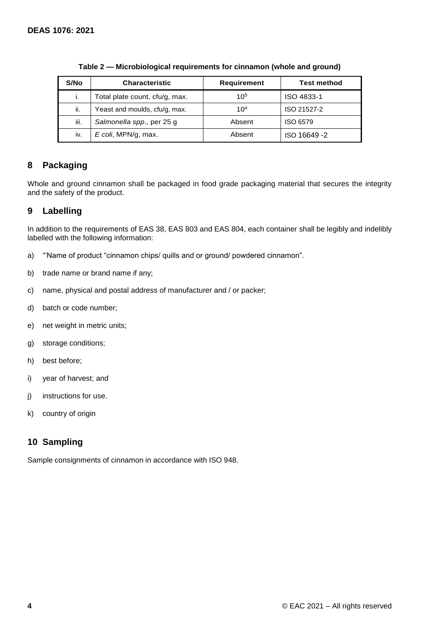| S/No | <b>Characteristic</b>          | <b>Requirement</b> | <b>Test method</b> |
|------|--------------------------------|--------------------|--------------------|
| i.   | Total plate count, cfu/g, max. | $10^{5}$           | ISO 4833-1         |
| ii.  | Yeast and moulds, cfu/g, max.  | 10 <sup>4</sup>    | ISO 21527-2        |
| iii. | Salmonella spp., per 25 g      | Absent             | ISO 6579           |
| iv.  | E coli, MPN/g, max.            | Absent             | ISO 16649-2        |

**Table 2 — Microbiological requirements for cinnamon (whole and ground)**

## **8 Packaging**

Whole and ground cinnamon shall be packaged in food grade packaging material that secures the integrity and the safety of the product.

## **9 Labelling**

In addition to the requirements of EAS 38, EAS 803 and EAS 804, each container shall be legibly and indelibly labelled with the following information:

- a) "'Name of product "cinnamon chips/ quills and or ground/ powdered cinnamon".
- b) trade name or brand name if any;
- c) name, physical and postal address of manufacturer and / or packer;
- d) batch or code number;
- e) net weight in metric units;
- g) storage conditions;
- h) best before;
- i) year of harvest; and
- j) instructions for use.
- k) country of origin

## **10 Sampling**

Sample consignments of cinnamon in accordance with ISO 948.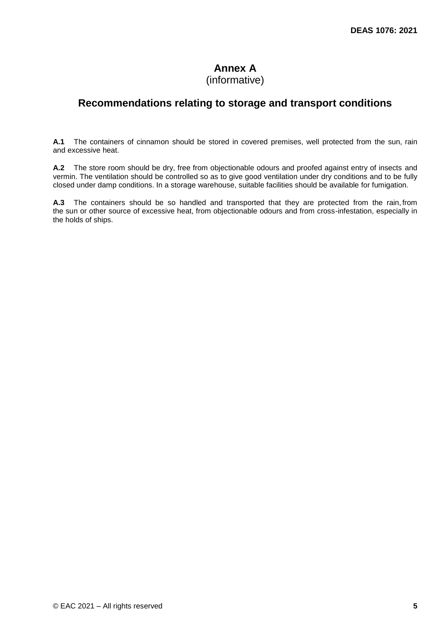# **Annex A**

## (informative)

## **Recommendations relating to storage and transport conditions**

**A.1** The containers of cinnamon should be stored in covered premises, well protected from the sun, rain and excessive heat.

**A.2** The store room should be dry, free from objectionable odours and proofed against entry of insects and vermin. The ventilation should be controlled so as to give good ventilation under dry conditions and to be fully closed under damp conditions. In a storage warehouse, suitable facilities should be available for fumigation.

**A.3** The containers should be so handled and transported that they are protected from the rain, from the sun or other source of excessive heat, from objectionable odours and from cross-infestation, especially in the holds of ships.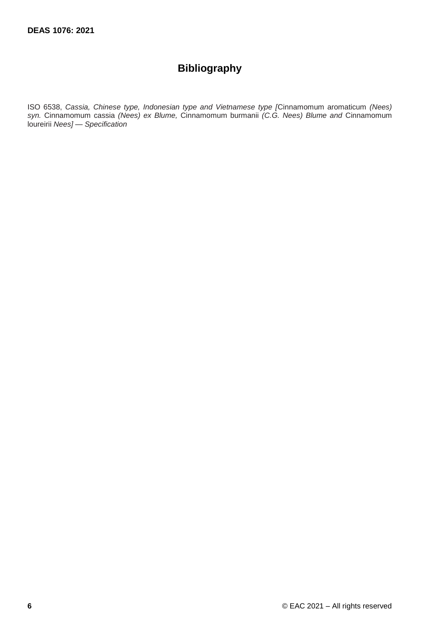# **Bibliography**

ISO 6538, *Cassia, Chinese type, Indonesian type and Vietnamese type [*Cinnamomum aromaticum *(Nees) syn.* Cinnamomum cassia *(Nees) ex Blume,* Cinnamomum burmanii *(C.G. Nees) Blume and* Cinnamomum loureirii *Nees] — Specification*